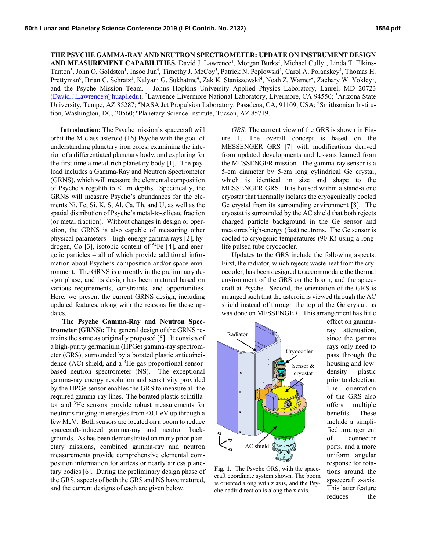**THE PSYCHE GAMMA-RAY AND NEUTRON SPECTROMETER: UPDATE ON INSTRUMENT DESIGN**  AND MEASUREMENT CAPABILITIES. David J. Lawrence<sup>1</sup>, Morgan Burks<sup>2</sup>, Michael Cully<sup>1</sup>, Linda T. Elkins-Tanton<sup>3</sup>, John O. Goldsten<sup>1</sup>, Insoo Jun<sup>4</sup>, Timothy J. McCoy<sup>5</sup>, Patrick N. Peplowski<sup>1</sup>, Carol A. Polanskey<sup>4</sup>, Thomas H. Prettyman<sup>6</sup>, Brian C. Schratz<sup>1</sup>, Kalyani G. Sukhatme<sup>4</sup>, Zak K. Staniszewski<sup>4</sup>, Noah Z. Warner<sup>4</sup>, Zachary W. Yokley<sup>1</sup>, and the Psyche Mission Team. <sup>1</sup>Johns Hopkins University Applied Physics Laboratory, Laurel, MD 20723 (David.J.Lawrence@jhuapl.edu); <sup>2</sup>Lawrence Livermore National Laboratory, Livermore, CA 94550; <sup>3</sup>Arizona State University, Tempe, AZ 85287; <sup>4</sup>NASA Jet Propulsion Laboratory, Pasadena, CA, 91109, USA; <sup>5</sup>Smithsonian Institution, Washington, DC, 20560; <sup>6</sup>Planetary Science Institute, Tucson, AZ 85719.

**Introduction:** The Psyche mission's spacecraft will orbit the M-class asteroid (16) Psyche with the goal of understanding planetary iron cores, examining the interior of a differentiated planetary body, and exploring for the first time a metal-rich planetary body [1]. The payload includes a Gamma-Ray and Neutron Spectrometer (GRNS), which will measure the elemental composition of Psyche's regolith to  $\leq 1$  m depths. Specifically, the GRNS will measure Psyche's abundances for the elements Ni, Fe, Si, K, S, Al, Ca, Th, and U, as well as the spatial distribution of Psyche's metal-to-silicate fraction (or metal fraction). Without changes in design or operation, the GRNS is also capable of measuring other physical parameters – high-energy gamma rays [2], hydrogen, Co [3], isotopic content of  $^{54}Fe$  [4], and energetic particles – all of which provide additional information about Psyche's composition and/or space environment. The GRNS is currently in the preliminary design phase, and its design has been matured based on various requirements, constraints, and opportunities. Here, we present the current GRNS design, including updated features, along with the reasons for these updates.

**The Psyche Gamma-Ray and Neutron Spectrometer (GRNS):** The general design of the GRNS remains the same as originally proposed [5]. It consists of a high-purity germanium (HPGe) gamma-ray spectrometer (GRS), surrounded by a borated plastic anticoincidence  $(AC)$  shield, and a <sup>3</sup>He gas-proportional-sensorbased neutron spectrometer (NS). The exceptional gamma-ray energy resolution and sensitivity provided by the HPGe sensor enables the GRS to measure all the required gamma-ray lines. The borated plastic scintillator and <sup>3</sup>He sensors provide robust measurements for neutrons ranging in energies from <0.1 eV up through a few MeV. Both sensors are located on a boom to reduce spacecraft-induced gamma-ray and neutron backgrounds. As has been demonstrated on many prior planetary missions, combined gamma-ray and neutron measurements provide comprehensive elemental composition information for airless or nearly airless planetary bodies [6]. During the preliminary design phase of the GRS, aspects of both the GRS and NS have matured, and the current designs of each are given below.

*GRS:* The current view of the GRS is shown in Figure 1. The overall concept is based on the MESSENGER GRS [7] with modifications derived from updated developments and lessons learned from the MESSENGER mission. The gamma-ray sensor is a 5-cm diameter by 5-cm long cylindrical Ge crystal, which is identical in size and shape to the MESSENGER GRS. It is housed within a stand-alone cryostat that thermally isolates the cryogenically cooled Ge crystal from its surrounding environment [8]. The cryostat is surrounded by the AC shield that both rejects charged particle background in the Ge sensor and measures high-energy (fast) neutrons. The Ge sensor is cooled to cryogenic temperatures (90 K) using a longlife pulsed tube cryocooler.

Updates to the GRS include the following aspects. First, the radiator, which rejects waste heat from the cryocooler, has been designed to accommodate the thermal environment of the GRS on the boom, and the spacecraft at Psyche. Second, the orientation of the GRS is arranged such that the asteroid is viewed through the AC shield instead of through the top of the Ge crystal, as was done on MESSENGER. This arrangement has little



**Fig. 1.** The Psyche GRS, with the spacecraft coordinate system shown. The boom is oriented along with z axis, and the Psyche nadir direction is along the x axis.

effect on gammaray attenuation, since the gamma rays only need to pass through the housing and lowdensity plastic prior to detection. The orientation of the GRS also offers multiple benefits. These include a simplified arrangement of connector ports, and a more uniform angular response for rotations around the spacecraft z-axis. This latter feature reduces the